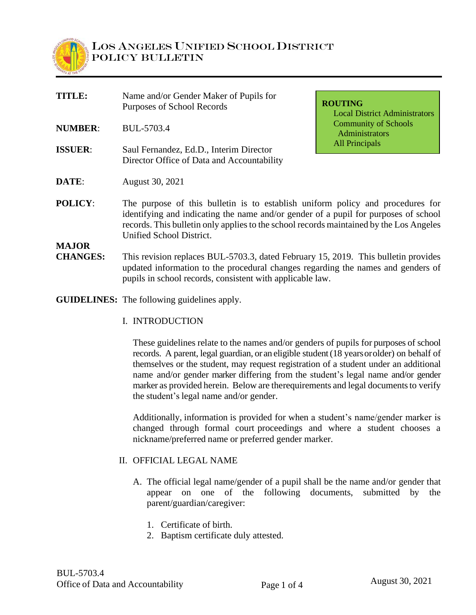

| TITLE:          | Name and/or Gender Maker of Pupils for<br>Purposes of School Records                                                                                                                                                                                                                         | <b>ROUTING</b><br><b>Local District Administrators</b> |  |
|-----------------|----------------------------------------------------------------------------------------------------------------------------------------------------------------------------------------------------------------------------------------------------------------------------------------------|--------------------------------------------------------|--|
| <b>NUMBER:</b>  | BUL-5703.4                                                                                                                                                                                                                                                                                   | <b>Community of Schools</b><br>Administrators          |  |
| <b>ISSUER:</b>  | Saul Fernandez, Ed.D., Interim Director<br>Director Office of Data and Accountability                                                                                                                                                                                                        | <b>All Principals</b>                                  |  |
| DATE:           | August 30, 2021                                                                                                                                                                                                                                                                              |                                                        |  |
| <b>POLICY:</b>  | The purpose of this bulletin is to establish uniform policy and procedures for<br>identifying and indicating the name and/or gender of a pupil for purposes of school<br>records. This bulletin only applies to the school records maintained by the Los Angeles<br>Unified School District. |                                                        |  |
| <b>MAJOR</b>    |                                                                                                                                                                                                                                                                                              |                                                        |  |
| <b>CHANGES:</b> | This revision replaces BUL-5703.3, dated February 15, 2019. This bulletin provides<br>updated information to the procedural changes regarding the names and genders of                                                                                                                       |                                                        |  |

pupils in school records, consistent with applicable law.

**GUIDELINES:** The following guidelines apply.

I. INTRODUCTION

These guidelines relate to the names and/or genders of pupils for purposes of school records. A parent, legal guardian, or an eligible student (18 years or older) on behalf of themselves or the student, may request registration of a student under an additional name and/or gender marker differing from the student's legal name and/or gender marker as provided herein. Below are therequirements and legal documents to verify the student's legal name and/or gender.

Additionally, information is provided for when a student's name/gender marker is changed through formal court proceedings and where a student chooses a nickname/preferred name or preferred gender marker.

#### II. OFFICIAL LEGAL NAME

- A. The official legal name/gender of a pupil shall be the name and/or gender that appear on one of the following documents, submitted by the parent/guardian/caregiver:
	- 1. Certificate of birth.
	- 2. Baptism certificate duly attested.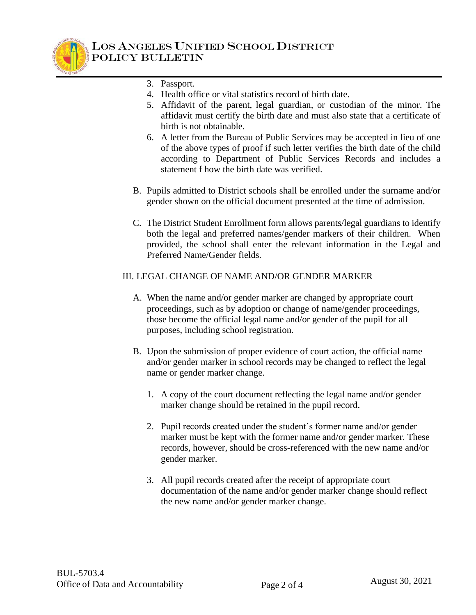

- 3. Passport.
- 4. Health office or vital statistics record of birth date.
- 5. Affidavit of the parent, legal guardian, or custodian of the minor. The affidavit must certify the birth date and must also state that a certificate of birth is not obtainable.
- 6. A letter from the Bureau of Public Services may be accepted in lieu of one of the above types of proof if such letter verifies the birth date of the child according to Department of Public Services Records and includes a statement f how the birth date was verified.
- B. Pupils admitted to District schools shall be enrolled under the surname and/or gender shown on the official document presented at the time of admission.
- C. The District Student Enrollment form allows parents/legal guardians to identify both the legal and preferred names/gender markers of their children. When provided, the school shall enter the relevant information in the Legal and Preferred Name/Gender fields.

### III. LEGAL CHANGE OF NAME AND/OR GENDER MARKER

- A. When the name and/or gender marker are changed by appropriate court proceedings, such as by adoption or change of name/gender proceedings, those become the official legal name and/or gender of the pupil for all purposes, including school registration.
- B. Upon the submission of proper evidence of court action, the official name and/or gender marker in school records may be changed to reflect the legal name or gender marker change.
	- 1. A copy of the court document reflecting the legal name and/or gender marker change should be retained in the pupil record.
	- 2. Pupil records created under the student's former name and/or gender marker must be kept with the former name and/or gender marker. These records, however, should be cross-referenced with the new name and/or gender marker.
	- 3. All pupil records created after the receipt of appropriate court documentation of the name and/or gender marker change should reflect the new name and/or gender marker change.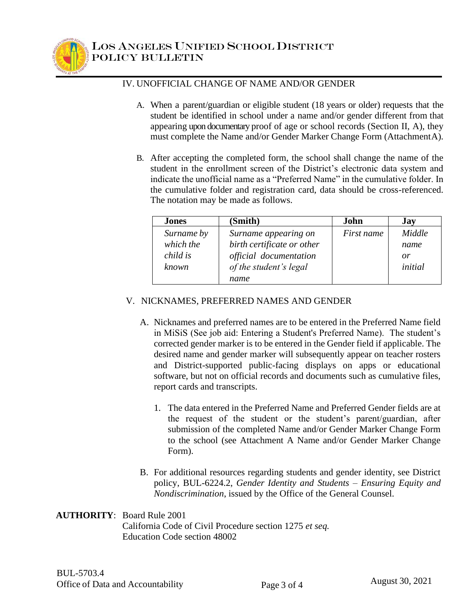

## IV. UNOFFICIAL CHANGE OF NAME AND/OR GENDER

- A. When a parent/guardian or eligible student (18 years or older) requests that the student be identified in school under a name and/or gender different from that appearing upon documentary proof of age or school records (Section II, A), they must complete the Name and/or Gender Marker Change Form (AttachmentA).
- B. After accepting the completed form, the school shall change the name of the student in the enrollment screen of the District's electronic data system and indicate the unofficial name as a "Preferred Name" in the cumulative folder. In the cumulative folder and registration card, data should be cross-referenced. The notation may be made as follows.

| <b>Jones</b> | (Smith)                    | John       | <b>Jay</b> |
|--------------|----------------------------|------------|------------|
| Surname by   | Surname appearing on       | First name | Middle     |
| which the    | birth certificate or other |            | name       |
| child is     | official documentation     |            | or         |
| known        | of the student's legal     |            | initial    |
|              | name                       |            |            |

## V. NICKNAMES, PREFERRED NAMES AND GENDER

- A. Nicknames and preferred names are to be entered in the Preferred Name field in MiSiS (See job aid: Entering a Student's Preferred Name). The student's corrected gender marker is to be entered in the Gender field if applicable. The desired name and gender marker will subsequently appear on teacher rosters and District-supported public-facing displays on apps or educational software, but not on official records and documents such as cumulative files, report cards and transcripts.
	- 1. The data entered in the Preferred Name and Preferred Gender fields are at the request of the student or the student's parent/guardian, after submission of the completed Name and/or Gender Marker Change Form to the school (see Attachment A Name and/or Gender Marker Change Form).
- B. For additional resources regarding students and gender identity, see District policy, BUL-6224.2, *Gender Identity and Students – Ensuring Equity and Nondiscrimination*, issued by the Office of the General Counsel.

# **AUTHORITY**: Board Rule 2001

California Code of Civil Procedure section 1275 *et seq.* Education Code section 48002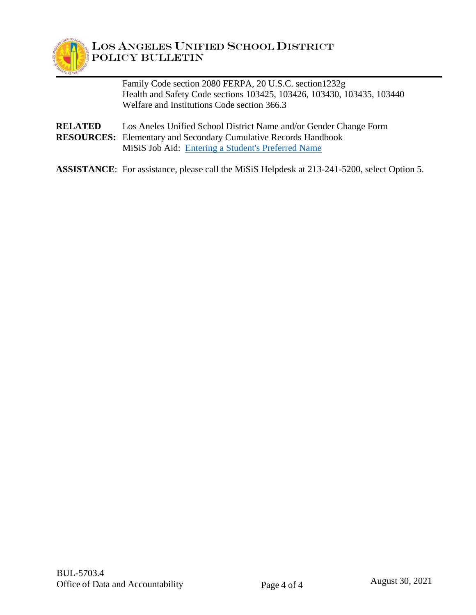

Family Code section 2080 FERPA, 20 U.S.C. section1232g Health and Safety Code sections 103425, 103426, 103430, 103435, 103440 Welfare and Institutions Code section 366.3

- **RELATED** Los Aneles Unified School District Name and/or Gender Change Form **RESOURCES:** Elementary and Secondary Cumulative Records Handbook MiSiS Job Aid: [Entering a Student's Preferred Name](https://lausd.sharepoint.com/:w:/r/sites/itd_misis/_layouts/15/Doc.aspx?sourcedoc=%7B6D38C624-98BF-4573-A881-EA1746A4145A%7D&file=Entering%20Preferred%20Names.docx&action=default&mobileredirect=true)
- **ASSISTANCE**: For assistance, please call the MiSiS Helpdesk at 213-241-5200, select Option 5.